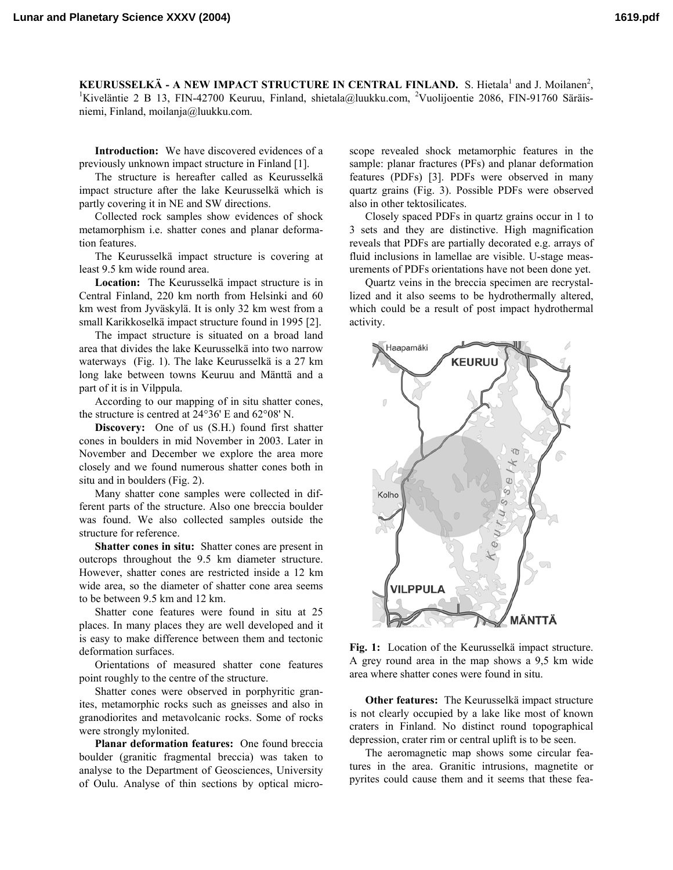**KEURUSSELKÄ - A NEW IMPACT STRUCTURE IN CENTRAL FINLAND.** S. Hietala<sup>1</sup> and J. Moilanen<sup>2</sup>,  $\frac{1}{2}$  iveralistic 2.0. P. 13. EIN 42700 Keyray, Einland, chietale@lyukky.com, <sup>2</sup>Vuolijaantia 2006. EIN 01760 Säräis, Kiveläntie 2 B 13, FIN-42700 Keuruu, Finland, shietala@luukku.com, <sup>2</sup>Vuolijoentie 2086, FIN-91760 Säräisniemi, Finland, moilanja@luukku.com.

**Introduction:** We have discovered evidences of a previously unknown impact structure in Finland [1].

The structure is hereafter called as Keurusselkä impact structure after the lake Keurusselkä which is partly covering it in NE and SW directions.

Collected rock samples show evidences of shock metamorphism i.e. shatter cones and planar deformation features.

The Keurusselkä impact structure is covering at least 9.5 km wide round area.

**Location:** The Keurusselkä impact structure is in Central Finland, 220 km north from Helsinki and 60 km west from Jyväskylä. It is only 32 km west from a small Karikkoselkä impact structure found in 1995 [2].

The impact structure is situated on a broad land area that divides the lake Keurusselkä into two narrow waterways (Fig. 1). The lake Keurusselkä is a 27 km long lake between towns Keuruu and Mänttä and a part of it is in Vilppula.

According to our mapping of in situ shatter cones, the structure is centred at 24°36' E and 62°08' N.

**Discovery:** One of us (S.H.) found first shatter cones in boulders in mid November in 2003. Later in November and December we explore the area more closely and we found numerous shatter cones both in situ and in boulders (Fig. 2).

Many shatter cone samples were collected in different parts of the structure. Also one breccia boulder was found. We also collected samples outside the structure for reference.

**Shatter cones in situ:** Shatter cones are present in outcrops throughout the 9.5 km diameter structure. However, shatter cones are restricted inside a 12 km wide area, so the diameter of shatter cone area seems to be between 9.5 km and 12 km.

Shatter cone features were found in situ at 25 places. In many places they are well developed and it is easy to make difference between them and tectonic deformation surfaces.

Orientations of measured shatter cone features point roughly to the centre of the structure.

Shatter cones were observed in porphyritic granites, metamorphic rocks such as gneisses and also in granodiorites and metavolcanic rocks. Some of rocks were strongly mylonited.

**Planar deformation features:** One found breccia boulder (granitic fragmental breccia) was taken to analyse to the Department of Geosciences, University of Oulu. Analyse of thin sections by optical micro-

scope revealed shock metamorphic features in the sample: planar fractures (PFs) and planar deformation features (PDFs) [3]. PDFs were observed in many quartz grains (Fig. 3). Possible PDFs were observed also in other tektosilicates.

Closely spaced PDFs in quartz grains occur in 1 to 3 sets and they are distinctive. High magnification reveals that PDFs are partially decorated e.g. arrays of fluid inclusions in lamellae are visible. U-stage measurements of PDFs orientations have not been done yet.

Quartz veins in the breccia specimen are recrystallized and it also seems to be hydrothermally altered, which could be a result of post impact hydrothermal activity.



**Fig. 1:** Location of the Keurusselkä impact structure. A grey round area in the map shows a 9,5 km wide area where shatter cones were found in situ.

**Other features:** The Keurusselkä impact structure is not clearly occupied by a lake like most of known craters in Finland. No distinct round topographical depression, crater rim or central uplift is to be seen.

The aeromagnetic map shows some circular features in the area. Granitic intrusions, magnetite or pyrites could cause them and it seems that these fea